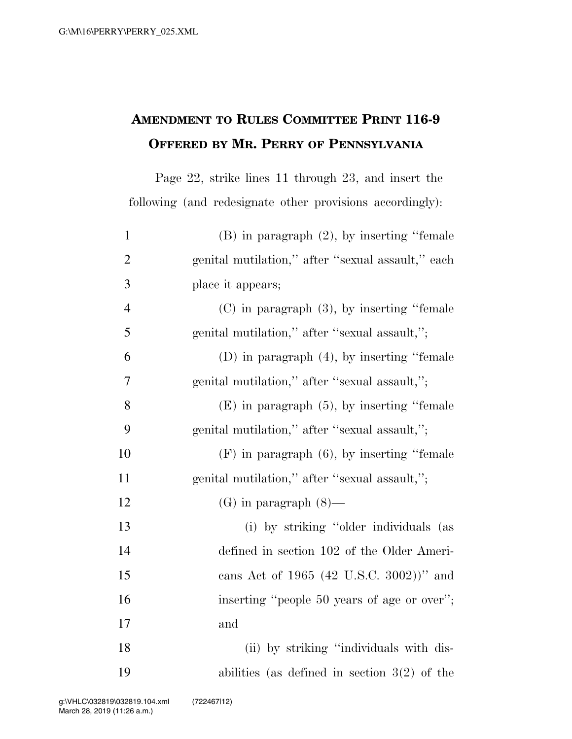## **AMENDMENT TO RULES COMMITTEE PRINT 116-9 OFFERED BY MR. PERRY OF PENNSYLVANIA**

Page 22, strike lines 11 through 23, and insert the following (and redesignate other provisions accordingly):

| $\mathbf{1}$   | $(B)$ in paragraph $(2)$ , by inserting "female"   |
|----------------|----------------------------------------------------|
| $\mathfrak{2}$ | genital mutilation," after "sexual assault," each  |
| 3              | place it appears;                                  |
| $\overline{4}$ | $(C)$ in paragraph $(3)$ , by inserting "female"   |
| 5              | genital mutilation," after "sexual assault,";      |
| 6              | $(D)$ in paragraph $(4)$ , by inserting "female"   |
| 7              | genital mutilation," after "sexual assault,";      |
| 8              | $(E)$ in paragraph $(5)$ , by inserting "female"   |
| 9              | genital mutilation," after "sexual assault,";      |
| 10             | $(F)$ in paragraph $(6)$ , by inserting "female"   |
| 11             | genital mutilation," after "sexual assault,";      |
| 12             | $(G)$ in paragraph $(8)$ —                         |
| 13             | (i) by striking "older individuals (as             |
| 14             | defined in section 102 of the Older Ameri-         |
| 15             | cans Act of 1965 $(42 \text{ U.S.C. } 3002)$ " and |
| 16             | inserting "people 50 years of age or over";        |
| 17             | and                                                |
| 18             | (ii) by striking "individuals with dis-            |
| 19             | abilities (as defined in section $3(2)$ of the     |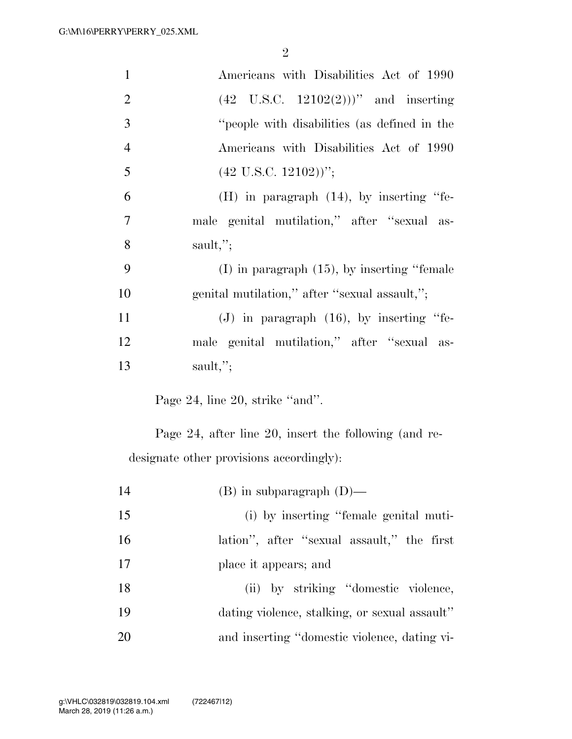| $\mathbf{1}$   | Americans with Disabilities Act of 1990               |
|----------------|-------------------------------------------------------|
| $\overline{2}$ | $(42 \text{ U.S.C. } 12102(2)))$ " and inserting      |
| 3              | "people with disabilities (as defined in the          |
| $\overline{4}$ | Americans with Disabilities Act of 1990               |
| 5              | $(42 \text{ U.S.C. } 12102))$ ";                      |
| 6              | $(H)$ in paragraph $(14)$ , by inserting "fe-         |
| 7              | male genital mutilation," after "sexual as-           |
| 8              | sault,";                                              |
| 9              | $(I)$ in paragraph $(15)$ , by inserting "female"     |
| 10             | genital mutilation," after "sexual assault,";         |
| 11             | $(J)$ in paragraph $(16)$ , by inserting "fe-         |
| 12             | male genital mutilation," after "sexual as-           |
| 13             | sault,";                                              |
|                | Page 24, line 20, strike "and".                       |
|                | Page 24, after line 20, insert the following (and re- |
|                | designate other provisions accordingly):              |
| 14             | $(B)$ in subparagraph $(D)$ —                         |
| 15             | (i) by inserting "female genital muti-                |
| 16             | lation", after "sexual assault," the first            |
| 17             | place it appears; and                                 |

18 (ii) by striking ''domestic violence, 19 dating violence, stalking, or sexual assault'' 20 and inserting ''domestic violence, dating vi-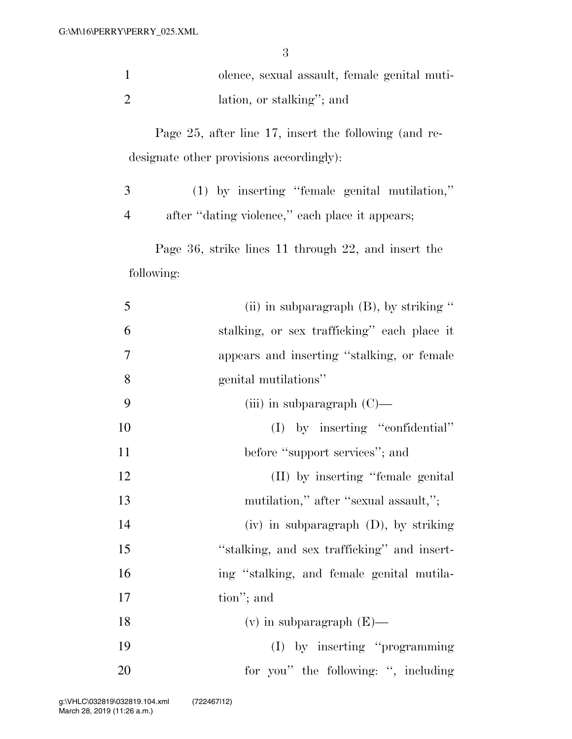| olence, sexual assault, female genital muti- |
|----------------------------------------------|
| lation, or stalking"; and                    |

Page 25, after line 17, insert the following (and redesignate other provisions accordingly):

 (1) by inserting ''female genital mutilation,'' after ''dating violence,'' each place it appears;

Page 36, strike lines 11 through 22, and insert the following:

| 5  | (ii) in subparagraph $(B)$ , by striking "  |
|----|---------------------------------------------|
| 6  | stalking, or sex trafficking" each place it |
| 7  | appears and inserting "stalking, or female  |
| 8  | genital mutilations"                        |
| 9  | (iii) in subparagraph $(C)$ —               |
| 10 | $(I)$ by inserting "confidential"           |
| 11 | before "support services"; and              |
| 12 | (II) by inserting "female genital           |
| 13 | mutilation," after "sexual assault,";       |
| 14 | $(iv)$ in subparagraph $(D)$ , by striking  |
| 15 | "stalking, and sex trafficking" and insert- |
| 16 | ing "stalking, and female genital mutila-   |
| 17 | tion"; and                                  |
| 18 | $(v)$ in subparagraph $(E)$ —               |
| 19 | (I) by inserting "programming               |
| 20 | for you" the following: ", including        |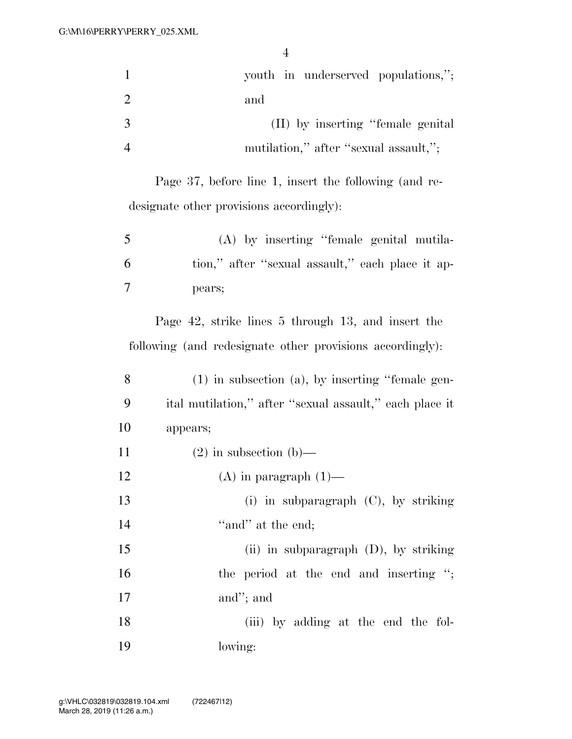|   | youth in underserved populations,";   |
|---|---------------------------------------|
|   | and                                   |
| 3 | (II) by inserting "female genital"    |
|   | mutilation," after "sexual assault,"; |

Page 37, before line 1, insert the following (and redesignate other provisions accordingly):

| 5 | (A) by inserting "female genital mutila-         |
|---|--------------------------------------------------|
| 6 | tion," after "sexual assault," each place it ap- |
|   | pears;                                           |

Page 42, strike lines 5 through 13, and insert the following (and redesignate other provisions accordingly):

| 8  | $(1)$ in subsection $(a)$ , by inserting "female gen-   |
|----|---------------------------------------------------------|
| 9  | ital mutilation," after "sexual assault," each place it |
| 10 | appears;                                                |
| 11 | $(2)$ in subsection $(b)$ —                             |
| 12 | $(A)$ in paragraph $(1)$ —                              |
| 13 | (i) in subparagraph $(C)$ , by striking                 |
| 14 | "and" at the end;                                       |
| 15 | (ii) in subparagraph $(D)$ , by striking                |
| 16 | the period at the end and inserting ";                  |
| 17 | and"; and                                               |
| 18 | (iii) by adding at the end the fol-                     |
| 19 | lowing:                                                 |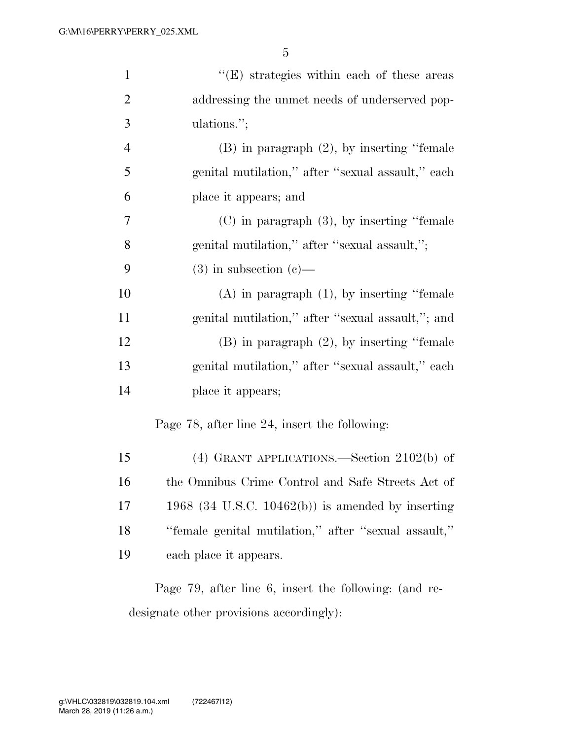| $\mathbf{1}$   | $\lq\lq(E)$ strategies within each of these areas    |
|----------------|------------------------------------------------------|
| $\overline{2}$ | addressing the unmet needs of underserved pop-       |
| 3              | ulations.";                                          |
| $\overline{4}$ | $(B)$ in paragraph $(2)$ , by inserting "female"     |
| 5              | genital mutilation," after "sexual assault," each    |
| 6              | place it appears; and                                |
| 7              | $(C)$ in paragraph $(3)$ , by inserting "female"     |
| 8              | genital mutilation," after "sexual assault,";        |
| 9              | $(3)$ in subsection $(e)$ —                          |
| 10             | $(A)$ in paragraph $(1)$ , by inserting "female"     |
| 11             | genital mutilation," after "sexual assault,"; and    |
| 12             | $(B)$ in paragraph $(2)$ , by inserting "female"     |
| 13             | genital mutilation," after "sexual assault," each    |
| 14             | place it appears;                                    |
|                | Page 78, after line 24, insert the following:        |
| 15             | $(4)$ GRANT APPLICATIONS.—Section 2102(b) of         |
| 16             | the Omnibus Crime Control and Safe Streets Act of    |
| 17             | 1968 (34 U.S.C. 10462(b)) is amended by inserting    |
| 18             | "female genital mutilation," after "sexual assault," |
| 19             | each place it appears.                               |
|                |                                                      |

Page 79, after line 6, insert the following: (and redesignate other provisions accordingly):